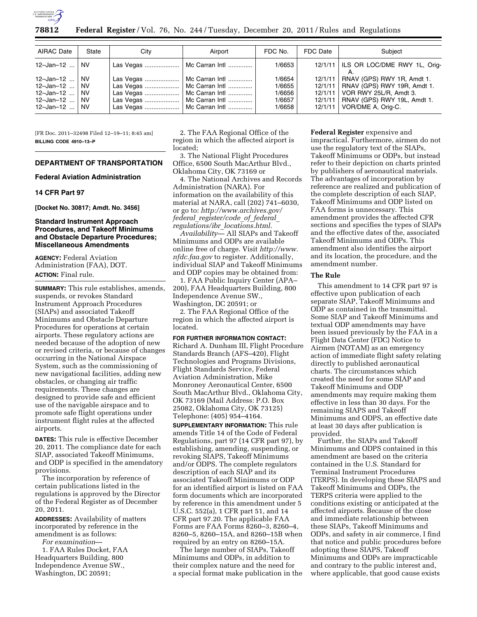

**78812 Federal Register** / Vol. 76, No. 244 / Tuesday, December 20, 2011 / Rules and Regulations

| AIRAC Date                                                              | State                                                         | City | Airport                                                                                                                                                 | FDC No.                                        | FDC Date           | Subiect                                                                                                                                                                |
|-------------------------------------------------------------------------|---------------------------------------------------------------|------|---------------------------------------------------------------------------------------------------------------------------------------------------------|------------------------------------------------|--------------------|------------------------------------------------------------------------------------------------------------------------------------------------------------------------|
| 12-Jan-12  I                                                            | NV.                                                           |      | Las Vegas    Mc Carran Intl                                                                                                                             | 1/6653                                         |                    | 12/1/11   ILS OR LOC/DME RWY 1L, Orig-                                                                                                                                 |
| 12–Jan–12 … l<br>$12 - Jan - 12$<br>12-Jan-12<br>12-Jan-12<br>12-Jan-12 | <b>NV</b><br><b>NV</b><br><b>NV</b><br><b>NV</b><br><b>NV</b> |      | Las Vegas    Mc Carran Intl<br>Las Vegas    Mc Carran Intl<br>Las Vegas    Mc Carran Intl<br>Las Vegas    Mc Carran Intl<br>Las Vegas    Mc Carran Intl | 1/6654<br>1/6655<br>1/6656<br>1/6657<br>1/6658 | 12/1/11<br>12/1/11 | RNAV (GPS) RWY 1R, Amdt 1.<br>12/1/11   RNAV (GPS) RWY 19R, Amdt 1.<br>12/1/11   VOR RWY 25L/R, Amdt 3.<br>RNAV (GPS) RWY 19L, Amdt 1.<br>12/1/11   VOR/DME A, Orig-C. |

[FR Doc. 2011–32498 Filed 12–19–11; 8:45 am] **BILLING CODE 4910–13–P** 

# **DEPARTMENT OF TRANSPORTATION**

#### **Federal Aviation Administration**

### **14 CFR Part 97**

**[Docket No. 30817; Amdt. No. 3456]** 

### **Standard Instrument Approach Procedures, and Takeoff Minimums and Obstacle Departure Procedures; Miscellaneous Amendments**

**AGENCY:** Federal Aviation Administration (FAA), DOT. **ACTION:** Final rule.

**SUMMARY:** This rule establishes, amends, suspends, or revokes Standard Instrument Approach Procedures (SIAPs) and associated Takeoff Minimums and Obstacle Departure Procedures for operations at certain airports. These regulatory actions are needed because of the adoption of new or revised criteria, or because of changes occurring in the National Airspace System, such as the commissioning of new navigational facilities, adding new obstacles, or changing air traffic requirements. These changes are designed to provide safe and efficient use of the navigable airspace and to promote safe flight operations under instrument flight rules at the affected airports.

**DATES:** This rule is effective December 20, 2011. The compliance date for each SIAP, associated Takeoff Minimums, and ODP is specified in the amendatory provisions.

The incorporation by reference of certain publications listed in the regulations is approved by the Director of the Federal Register as of December 20, 2011.

**ADDRESSES:** Availability of matters incorporated by reference in the amendment is as follows: *For examination*—

1. FAA Rules Docket, FAA Headquarters Building, 800 Independence Avenue SW., Washington, DC 20591;

2. The FAA Regional Office of the region in which the affected airport is located;

3. The National Flight Procedures Office, 6500 South MacArthur Blvd., Oklahoma City, OK 73169 or

4. The National Archives and Records Administration (NARA). For information on the availability of this material at NARA, call (202) 741–6030, or go to: *[http://www.archives.gov/](http://www.archives.gov/federal_register/code_of_federal_regulations/ibr_locations.html) federal*\_*register/code*\_*of*\_*federal*\_ *regulations/ibr*\_*locations.html.* 

*Availability*— All SIAPs and Takeoff Minimums and ODPs are available online free of charge. Visit *[http://www.](http://www.nfdc.faa.gov) [nfdc.faa.gov](http://www.nfdc.faa.gov)* to register. Additionally, individual SIAP and Takeoff Minimums and ODP copies may be obtained from:

1. FAA Public Inquiry Center (APA– 200), FAA Headquarters Building, 800 Independence Avenue SW., Washington, DC 20591; or

2. The FAA Regional Office of the region in which the affected airport is located.

## **FOR FURTHER INFORMATION CONTACT:**

Richard A. Dunham III, Flight Procedure Standards Branch (AFS–420), Flight Technologies and Programs Divisions, Flight Standards Service, Federal Aviation Administration, Mike Monroney Aeronautical Center, 6500 South MacArthur Blvd., Oklahoma City, OK 73169 (Mail Address: P.O. Box 25082, Oklahoma City, OK 73125) Telephone: (405) 954–4164.

**SUPPLEMENTARY INFORMATION:** This rule amends Title 14 of the Code of Federal Regulations, part 97 (14 CFR part 97), by establishing, amending, suspending, or revoking SIAPS, Takeoff Minimums and/or ODPS. The complete regulators description of each SIAP and its associated Takeoff Minimums or ODP for an identified airport is listed on FAA form documents which are incorporated by reference in this amendment under 5 U.S.C. 552(a), 1 CFR part 51, and 14 CFR part 97.20. The applicable FAA Forms are FAA Forms 8260–3, 8260–4, 8260–5, 8260–15A, and 8260–15B when required by an entry on 8260–15A.

The large number of SIAPs, Takeoff Minimums and ODPs, in addition to their complex nature and the need for a special format make publication in the **Federal Register** expensive and impractical. Furthermore, airmen do not use the regulatory text of the SIAPs, Takeoff Minimums or ODPs, but instead refer to their depiction on charts printed by publishers of aeronautical materials. The advantages of incorporation by reference are realized and publication of the complete description of each SIAP, Takeoff Minimums and ODP listed on FAA forms is unnecessary. This amendment provides the affected CFR sections and specifies the types of SIAPs and the effective dates of the, associated Takeoff Minimums and ODPs. This amendment also identifies the airport and its location, the procedure, and the amendment number.

### **The Rule**

This amendment to 14 CFR part 97 is effective upon publication of each separate SIAP, Takeoff Minimums and ODP as contained in the transmittal. Some SIAP and Takeoff Minimums and textual ODP amendments may have been issued previously by the FAA in a Flight Data Center (FDC) Notice to Airmen (NOTAM) as an emergency action of immediate flight safety relating directly to published aeronautical charts. The circumstances which created the need for some SIAP and Takeoff Minimums and ODP amendments may require making them effective in less than 30 days. For the remaining SIAPS and Takeoff Minimums and ODPS, an effective date at least 30 days after publication is provided.

Further, the SIAPs and Takeoff Minimums and ODPS contained in this amendment are based on the criteria contained in the U.S. Standard for Terminal Instrument Procedures (TERPS). In developing these SIAPS and Takeoff Minimums and ODPs, the TERPS criteria were applied to the conditions existing or anticipated at the affected airports. Because of the close and immediate relationship between these SIAPs, Takeoff Minimums and ODPs, and safety in air commerce, I find that notice and public procedures before adopting these SIAPS, Takeoff Minimums and ODPs are impracticable and contrary to the public interest and, where applicable, that good cause exists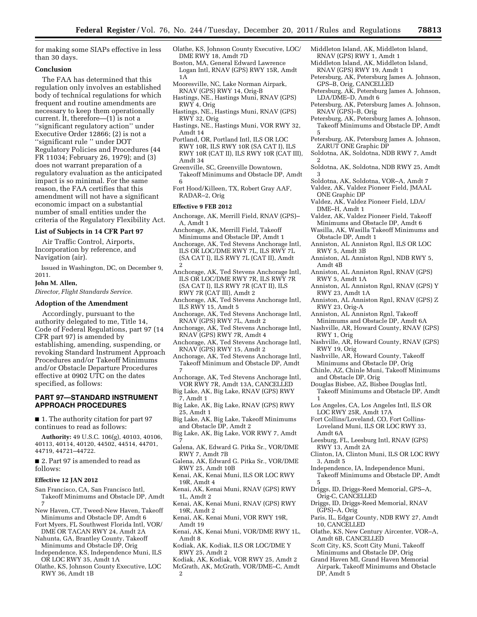for making some SIAPs effective in less than 30 days.

### **Conclusion**

The FAA has determined that this regulation only involves an established body of technical regulations for which frequent and routine amendments are necessary to keep them operationally current. It, therefore—(1) is not a ''significant regulatory action'' under Executive Order 12866; (2) is not a ''significant rule '' under DOT Regulatory Policies and Procedures (44 FR 11034; February 26, 1979); and (3) does not warrant preparation of a regulatory evaluation as the anticipated impact is so minimal. For the same reason, the FAA certifies that this amendment will not have a significant economic impact on a substantial number of small entities under the criteria of the Regulatory Flexibility Act.

## **List of Subjects in 14 CFR Part 97**

Air Traffic Control, Airports, Incorporation by reference, and Navigation (air).

Issued in Washington, DC, on December 9, 2011.

#### **John M. Allen,**

*Director, Flight Standards Service.* 

### **Adoption of the Amendment**

Accordingly, pursuant to the authority delegated to me, Title 14, Code of Federal Regulations, part 97 (14 CFR part 97) is amended by establishing, amending, suspending, or revoking Standard Instrument Approach Procedures and/or Takeoff Minimums and/or Obstacle Departure Procedures effective at 0902 UTC on the dates specified, as follows:

## **PART 97—STANDARD INSTRUMENT APPROACH PROCEDURES**

■ 1. The authority citation for part 97 continues to read as follows:

**Authority:** 49 U.S.C. 106(g), 40103, 40106, 40113, 40114, 40120, 44502, 44514, 44701, 44719, 44721–44722.

■ 2. Part 97 is amended to read as follows:

#### **Effective 12 JAN 2012**

- San Francisco, CA, San Francisco Intl, Takeoff Minimums and Obstacle DP, Amdt 7
- New Haven, CT, Tweed-New Haven, Takeoff Minimums and Obstacle DP, Amdt 6
- Fort Myers, FL Southwest Florida Intl, VOR/ DME OR TACAN RWY 24, Amdt 2A
- Nahunta, GA, Brantley County, Takeoff Minimums and Obstacle DP, Orig
- Independence, KS, Independence Muni, ILS OR LOC RWY 35, Amdt 1A
- Olathe, KS, Johnson County Executive, LOC RWY 36, Amdt 1B

Olathe, KS, Johnson County Executive, LOC/ DME RWY 18, Amdt 7D

Boston, MA, General Edward Lawrence Logan Intl, RNAV (GPS) RWY 15R, Amdt 1A

- Mooresville, NC, Lake Norman Airpark, RNAV (GPS) RWY 14, Orig-B
- Hastings, NE., Hastings Muni, RNAV (GPS) RWY 4, Orig
- Hastings, NE., Hastings Muni, RNAV (GPS) RWY 32, Orig
- Hastings, NE., Hastings Muni, VOR RWY 32, Amdt 14
- Portland, OR, Portland Intl, ILS OR LOC RWY 10R, ILS RWY 10R (SA CAT I), ILS RWY 10R (CAT II), ILS RWY 10R (CAT III), Amdt 34
- Greenville, SC, Greenville Downtown, Takeoff Minimums and Obstacle DP, Amdt 6
- Fort Hood/Killeen, TX, Robert Gray AAF, RADAR–2, Orig

#### **Effective 9 FEB 2012**

- Anchorage, AK, Merrill Field, RNAV (GPS)– A, Amdt 1
- Anchorage, AK, Merrill Field, Takeoff Minimums and Obstacle DP, Amdt 1
- Anchorage, AK, Ted Stevens Anchorage Intl, ILS OR LOC/DME RWY 7L, ILS RWY 7L (SA CAT I), ILS RWY 7L (CAT II), Amdt 2
- Anchorage, AK, Ted Stevens Anchorage Intl, ILS OR LOC/DME RWY 7R, ILS RWY 7R (SA CAT I), ILS RWY 7R (CAT II), ILS RWY 7R (CAT III), Amdt 2
- Anchorage, AK, Ted Stevens Anchorage Intl, ILS RWY 15, Amdt 5
- Anchorage, AK, Ted Stevens Anchorage Intl, RNAV (GPS) RWY 7L, Amdt 2
- Anchorage, AK, Ted Stevens Anchorage Intl, RNAV (GPS) RWY 7R, Amdt 4
- Anchorage, AK, Ted Stevens Anchorage Intl, RNAV (GPS) RWY 15, Amdt 2
- Anchorage, AK, Ted Stevens Anchorage Intl, Takeoff Minimum and Obstacle DP, Amdt 7
- Anchorage, AK, Ted Stevens Anchorage Intl, VOR RWY 7R, Amdt 13A, CANCELLED
- Big Lake, AK, Big Lake, RNAV (GPS) RWY 7, Amdt 1
- Big Lake, AK, Big Lake, RNAV (GPS) RWY 25, Amdt 1
- Big Lake, AK, Big Lake, Takeoff Minimums and Obstacle DP, Amdt 2
- Big Lake, AK, Big Lake, VOR RWY 7, Amdt 7
- Galena, AK, Edward G. Pitka Sr., VOR/DME RWY 7, Amdt 7B
- Galena, AK, Edward G. Pitka Sr., VOR/DME RWY 25, Amdt 10B
- Kenai, AK, Kenai Muni, ILS OR LOC RWY 19R, Amdt 4
- Kenai, AK, Kenai Muni, RNAV (GPS) RWY 1L, Amdt 2
- Kenai, AK, Kenai Muni, RNAV (GPS) RWY 19R, Amdt 2
- Kenai, AK, Kenai Muni, VOR RWY 19R, Amdt 19
- Kenai, AK, Kenai Muni, VOR/DME RWY 1L, Amdt 8
- Kodiak, AK, Kodiak, ILS OR LOC/DME Y RWY 25, Amdt 2
- Kodiak, AK, Kodiak, VOR RWY 25, Amdt 2
- McGrath, AK, McGrath, VOR/DME–C, Amdt 2
- Middleton Island, AK, Middleton Island, RNAV (GPS) RWY 1, Amdt 1
- Middleton Island, AK, Middleton Island, RNAV (GPS) RWY 19, Amdt 1
- Petersburg, AK, Petersburg James A. Johnson, GPS–B, Orig, CANCELLED
- Petersburg, AK, Petersburg James A. Johnson, LDA/DME–D, Amdt 6
- Petersburg, AK, Petersburg James A. Johnson, RNAV (GPS)–B, Orig
- Petersburg, AK, Petersburg James A. Johnson, Takeoff Minimums and Obstacle DP, Amdt 5
- Petersburg, AK, Petersburg James A. Johnson, ZARUT ONE Graphic DP
- Soldotna, AK, Soldotna, NDB RWY 7, Amdt 2
- Soldotna, AK, Soldotna, NDB RWY 25, Amdt 3
- Soldotna, AK, Soldotna, VOR–A, Amdt 7
- Valdez, AK, Valdez Pioneer Field, JMAAL ONE Graphic DP
- Valdez, AK, Valdez Pioneer Field, LDA/ DME–H, Amdt 1
- Valdez, AK, Valdez Pioneer Field, Takeoff Minimums and Obstacle DP, Amdt 6
- Wasilla, AK, Wasilla Takeoff Minimums and Obstacle DP, Amdt 1
- Anniston, AL Anniston Rgnl, ILS OR LOC RWY 5, Amdt 3B
- Anniston, AL Anniston Rgnl, NDB RWY 5, Amdt 4B
- Anniston, AL Anniston Rgnl, RNAV (GPS) RWY 5, Amdt 1A
- Anniston, AL Anniston Rgnl, RNAV (GPS) Y RWY 23, Amdt 1A
- Anniston, AL Anniston Rgnl, RNAV (GPS) Z RWY 23, Orig-A
- Anniston, AL Anniston Rgnl, Takeoff Minimums and Obstacle DP, Amdt 6A
- Nashville, AR, Howard County, RNAV (GPS) RWY 1, Orig
- Nashville, AR, Howard County, RNAV (GPS) RWY 19, Orig
- Nashville, AR, Howard County, Takeoff Minimums and Obstacle DP, Orig
- Chinle, AZ, Chinle Muni, Takeoff Minimums and Obstacle DP, Orig
- Douglas Bisbee, AZ, Bisbee Douglas Intl, Takeoff Minimums and Obstacle DP, Amdt 1
- Los Angeles, CA, Los Angeles Intl, ILS OR LOC RWY 25R, Amdt 17A
- Fort Collins/Loveland, CO, Fort Collins-Loveland Muni, ILS OR LOC RWY 33, Amdt 6A
- Leesburg, FL, Leesburg Intl, RNAV (GPS) RWY 13, Amdt 2A
- Clinton, IA, Clinton Muni, ILS OR LOC RWY 3, Amdt 5
- Independence, IA, Independence Muni, Takeoff Minimums and Obstacle DP, Amdt 5
- Driggs, ID, Driggs-Reed Memorial, GPS–A,
- Orig-C, CANCELLED
	- Driggs, ID, Driggs-Reed Memorial, RNAV (GPS)–A, Orig
	- Paris, IL, Edgar County, NDB RWY 27, Amdt 10, CANCELLED
	- Olathe, KS, New Century Aircenter, VOR–A, Amdt 6B, CANCELLED
	- Scott City, KS, Scott City Muni, Takeoff Minimums and Obstacle DP, Orig
	- Grand Haven MI, Grand Haven Memorial Airpark, Takeoff Minimums and Obstacle DP, Amdt 5